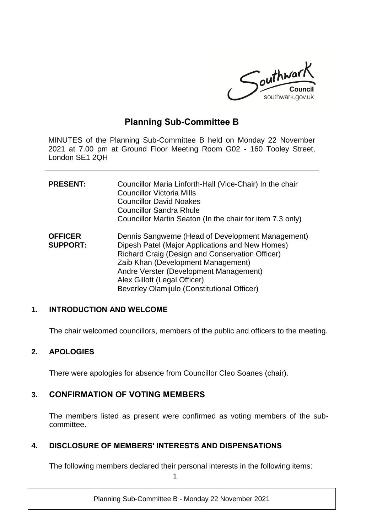

# **Planning Sub-Committee B**

MINUTES of the Planning Sub-Committee B held on Monday 22 November 2021 at 7.00 pm at Ground Floor Meeting Room G02 - 160 Tooley Street, London SE1 2QH

| <b>PRESENT:</b>                   | Councillor Maria Linforth-Hall (Vice-Chair) In the chair<br><b>Councillor Victoria Mills</b><br><b>Councillor David Noakes</b><br><b>Councillor Sandra Rhule</b><br>Councillor Martin Seaton (In the chair for item 7.3 only)                                                                                         |
|-----------------------------------|-----------------------------------------------------------------------------------------------------------------------------------------------------------------------------------------------------------------------------------------------------------------------------------------------------------------------|
| <b>OFFICER</b><br><b>SUPPORT:</b> | Dennis Sangweme (Head of Development Management)<br>Dipesh Patel (Major Applications and New Homes)<br>Richard Craig (Design and Conservation Officer)<br>Zaib Khan (Development Management)<br>Andre Verster (Development Management)<br>Alex Gillott (Legal Officer)<br>Beverley Olamijulo (Constitutional Officer) |

## **1. INTRODUCTION AND WELCOME**

The chair welcomed councillors, members of the public and officers to the meeting.

### **2. APOLOGIES**

There were apologies for absence from Councillor Cleo Soanes (chair).

## **3. CONFIRMATION OF VOTING MEMBERS**

The members listed as present were confirmed as voting members of the subcommittee.

### **4. DISCLOSURE OF MEMBERS' INTERESTS AND DISPENSATIONS**

The following members declared their personal interests in the following items:

1

Planning Sub-Committee B - Monday 22 November 2021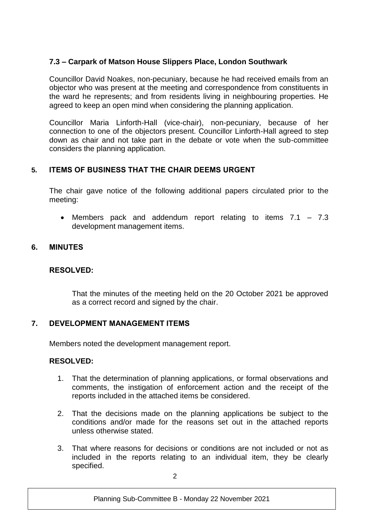## **7.3 – Carpark of Matson House Slippers Place, London Southwark**

Councillor David Noakes, non-pecuniary, because he had received emails from an objector who was present at the meeting and correspondence from constituents in the ward he represents; and from residents living in neighbouring properties. He agreed to keep an open mind when considering the planning application.

Councillor Maria Linforth-Hall (vice-chair), non-pecuniary, because of her connection to one of the objectors present. Councillor Linforth-Hall agreed to step down as chair and not take part in the debate or vote when the sub-committee considers the planning application.

## **5. ITEMS OF BUSINESS THAT THE CHAIR DEEMS URGENT**

The chair gave notice of the following additional papers circulated prior to the meeting:

 Members pack and addendum report relating to items 7.1 – 7.3 development management items.

## **6. MINUTES**

## **RESOLVED:**

That the minutes of the meeting held on the 20 October 2021 be approved as a correct record and signed by the chair.

## **7. DEVELOPMENT MANAGEMENT ITEMS**

Members noted the development management report.

## **RESOLVED:**

- 1. That the determination of planning applications, or formal observations and comments, the instigation of enforcement action and the receipt of the reports included in the attached items be considered.
- 2. That the decisions made on the planning applications be subject to the conditions and/or made for the reasons set out in the attached reports unless otherwise stated.
- 3. That where reasons for decisions or conditions are not included or not as included in the reports relating to an individual item, they be clearly specified.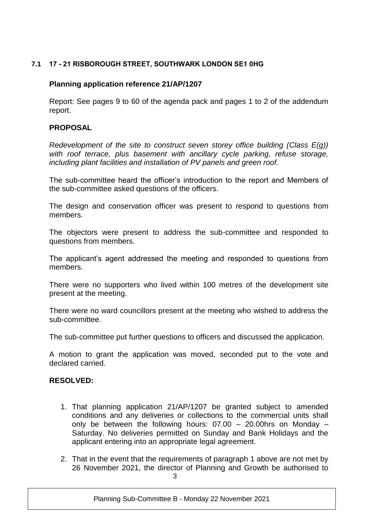## **7.1 17 - 21 RISBOROUGH STREET, SOUTHWARK LONDON SE1 0HG**

### **Planning application reference 21/AP/1207**

Report: See pages 9 to 60 of the agenda pack and pages 1 to 2 of the addendum report.

#### **PROPOSAL**

*Redevelopment of the site to construct seven storey office building (Class E(g)) with roof terrace, plus basement with ancillary cycle parking, refuse storage, including plant facilities and installation of PV panels and green roof.*

The sub-committee heard the officer's introduction to the report and Members of the sub-committee asked questions of the officers.

The design and conservation officer was present to respond to questions from members.

The objectors were present to address the sub-committee and responded to questions from members.

The applicant's agent addressed the meeting and responded to questions from members.

There were no supporters who lived within 100 metres of the development site present at the meeting.

There were no ward councillors present at the meeting who wished to address the sub-committee.

The sub-committee put further questions to officers and discussed the application.

A motion to grant the application was moved, seconded put to the vote and declared carried.

### **RESOLVED:**

- 1. That planning application 21/AP/1207 be granted subject to amended conditions and any deliveries or collections to the commercial units shall only be between the following hours:  $07.00 - 20.00$ hrs on Monday – Saturday. No deliveries permitted on Sunday and Bank Holidays and the applicant entering into an appropriate legal agreement.
- 3 2. That in the event that the requirements of paragraph 1 above are not met by 26 November 2021, the director of Planning and Growth be authorised to

Planning Sub-Committee B - Monday 22 November 2021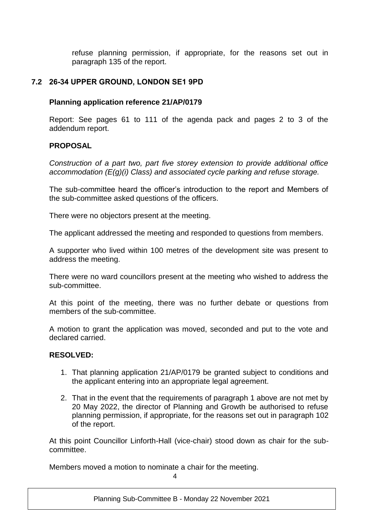refuse planning permission, if appropriate, for the reasons set out in paragraph 135 of the report.

## **7.2 26-34 UPPER GROUND, LONDON SE1 9PD**

## **Planning application reference 21/AP/0179**

Report: See pages 61 to 111 of the agenda pack and pages 2 to 3 of the addendum report.

## **PROPOSAL**

*Construction of a part two, part five storey extension to provide additional office accommodation (E(g)(i) Class) and associated cycle parking and refuse storage.*

The sub-committee heard the officer's introduction to the report and Members of the sub-committee asked questions of the officers.

There were no objectors present at the meeting.

The applicant addressed the meeting and responded to questions from members.

A supporter who lived within 100 metres of the development site was present to address the meeting.

There were no ward councillors present at the meeting who wished to address the sub-committee.

At this point of the meeting, there was no further debate or questions from members of the sub-committee.

A motion to grant the application was moved, seconded and put to the vote and declared carried.

## **RESOLVED:**

- 1. That planning application 21/AP/0179 be granted subject to conditions and the applicant entering into an appropriate legal agreement.
- 2. That in the event that the requirements of paragraph 1 above are not met by 20 May 2022, the director of Planning and Growth be authorised to refuse planning permission, if appropriate, for the reasons set out in paragraph 102 of the report.

At this point Councillor Linforth-Hall (vice-chair) stood down as chair for the subcommittee.

Members moved a motion to nominate a chair for the meeting.

 $\lambda$ 

Planning Sub-Committee B - Monday 22 November 2021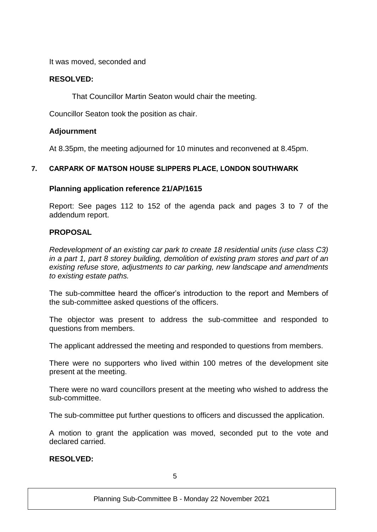It was moved, seconded and

## **RESOLVED:**

That Councillor Martin Seaton would chair the meeting.

Councillor Seaton took the position as chair.

### **Adjournment**

At 8.35pm, the meeting adjourned for 10 minutes and reconvened at 8.45pm.

## **7. CARPARK OF MATSON HOUSE SLIPPERS PLACE, LONDON SOUTHWARK**

### **Planning application reference 21/AP/1615**

Report: See pages 112 to 152 of the agenda pack and pages 3 to 7 of the addendum report.

### **PROPOSAL**

*Redevelopment of an existing car park to create 18 residential units (use class C3) in a part 1, part 8 storey building, demolition of existing pram stores and part of an existing refuse store, adjustments to car parking, new landscape and amendments to existing estate paths.* 

The sub-committee heard the officer's introduction to the report and Members of the sub-committee asked questions of the officers.

The objector was present to address the sub-committee and responded to questions from members.

The applicant addressed the meeting and responded to questions from members.

There were no supporters who lived within 100 metres of the development site present at the meeting.

There were no ward councillors present at the meeting who wished to address the sub-committee.

The sub-committee put further questions to officers and discussed the application.

A motion to grant the application was moved, seconded put to the vote and declared carried.

### **RESOLVED:**